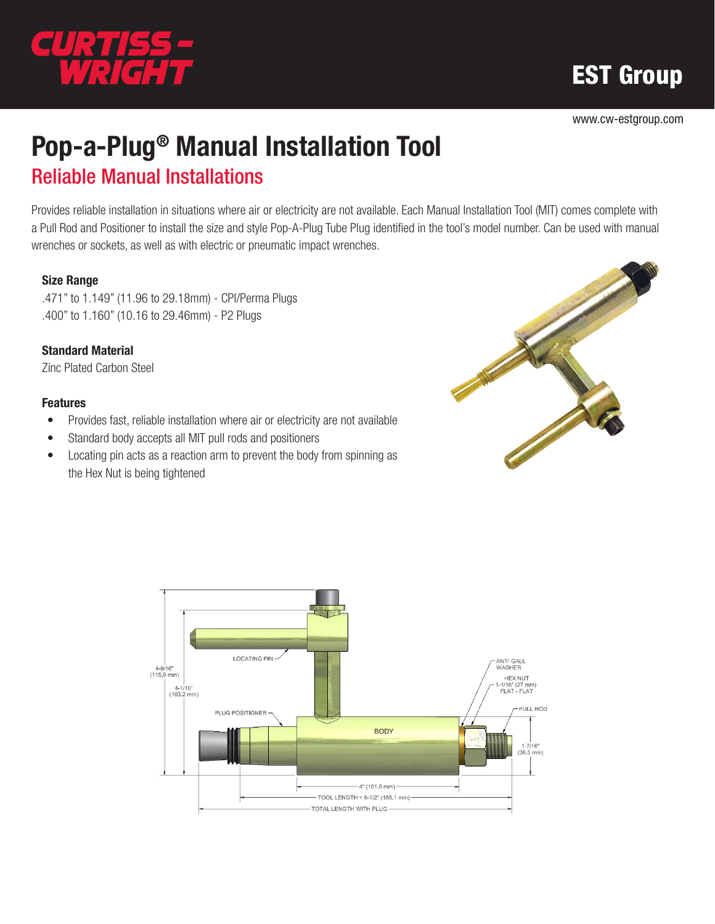

# EST Group

www.cw-estgroup.com

## Pop-a-Plug® Manual Installation Tool Reliable Manual Installations

Provides reliable installation in situations where air or electricity are not available. Each Manual Installation Tool (MIT) comes complete with a Pull Rod and Positioner to install the size and style Pop-A-Plug Tube Plug identified in the tool's model number. Can be used with manual wrenches or sockets, as well as with electric or pneumatic impact wrenches.

#### Size Range

.471" to 1.149" (11.96 to 29.18mm) - CPI/Perma Plugs .400" to 1.160" (10.16 to 29.46mm) - P2 Plugs

#### Standard Material

Zinc Plated Carbon Steel

#### Features

- Provides fast, reliable installation where air or electricity are not available
- Standard body accepts all MIT pull rods and positioners
- Locating pin acts as a reaction arm to prevent the body from spinning as the Hex Nut is being tightened